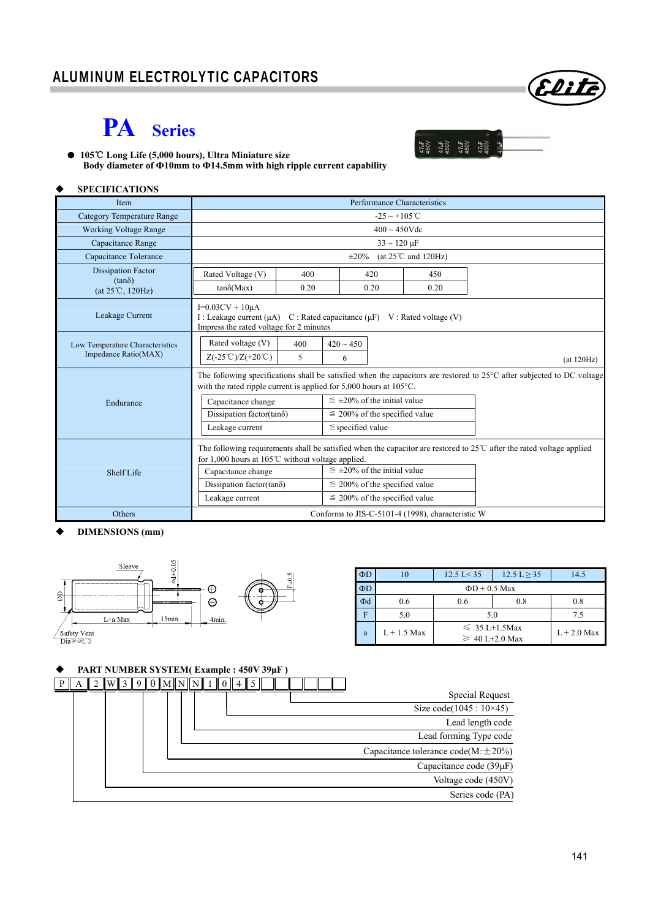## **PA Series**

 $\begin{array}{cccc} 47.4^{\circ} & 47.4^{\circ} & 47.4^{\circ} \\ 450 & 47.4^{\circ} & 47.4^{\circ} & 47.4^{\circ} \\ 47.4^{\circ} & 47.4^{\circ} & 47.4^{\circ} \\ 47.4^{\circ} & 47.4^{\circ} & 47.4^{\circ} \end{array}$ 

● 105℃ Long Life (5,000 hours), Ultra Miniature size **Body diameter of Ф10mm to Ф14.5mm with high ripple current capability** 

#### **SPECIFICATIONS**

| Item                                                                    | Performance Characteristics                                                                                                                                                                                                                                                                                                                                                                    |          |                                      |      |            |
|-------------------------------------------------------------------------|------------------------------------------------------------------------------------------------------------------------------------------------------------------------------------------------------------------------------------------------------------------------------------------------------------------------------------------------------------------------------------------------|----------|--------------------------------------|------|------------|
| <b>Category Temperature Range</b>                                       | $-25 \sim +105^{\circ}$ C                                                                                                                                                                                                                                                                                                                                                                      |          |                                      |      |            |
| <b>Working Voltage Range</b>                                            | $400 \sim 450$ Vdc                                                                                                                                                                                                                                                                                                                                                                             |          |                                      |      |            |
| Capacitance Range                                                       | $33 \sim 120 \,\mu F$                                                                                                                                                                                                                                                                                                                                                                          |          |                                      |      |            |
| Capacitance Tolerance                                                   | $\pm 20\%$<br>(at $25^{\circ}$ C and $120\text{Hz}$ )                                                                                                                                                                                                                                                                                                                                          |          |                                      |      |            |
| <b>Dissipation Factor</b><br>$(tan\delta)$<br>$(at 25^{\circ}C, 120Hz)$ | Rated Voltage (V)                                                                                                                                                                                                                                                                                                                                                                              | 400      | 420                                  | 450  |            |
|                                                                         | $tan\delta(Max)$                                                                                                                                                                                                                                                                                                                                                                               | 0.20     | 0.20                                 | 0.20 |            |
| Leakage Current                                                         | $I=0.03CV + 10\mu A$<br>I: Leakage current $(\mu A)$ C: Rated capacitance $(\mu F)$ V: Rated voltage (V)<br>Impress the rated voltage for 2 minutes                                                                                                                                                                                                                                            |          |                                      |      |            |
| Low Temperature Characteristics<br>Impedance Ratio(MAX)                 | Rated voltage (V)<br>$Z(-25^{\circ}\text{C})/Z(+20^{\circ}\text{C})$                                                                                                                                                                                                                                                                                                                           | 400<br>5 | $420 \sim 450$<br>6                  |      | (at 120Hz) |
|                                                                         | The following specifications shall be satisfied when the capacitors are restored to 25°C after subjected to DC voltage<br>with the rated ripple current is applied for $5,000$ hours at $105^{\circ}$ C.                                                                                                                                                                                       |          |                                      |      |            |
| Endurance                                                               | Capacitance change                                                                                                                                                                                                                                                                                                                                                                             |          | $\leq \pm 20\%$ of the initial value |      |            |
|                                                                         | Dissipation factor(tan $\delta$ )                                                                                                                                                                                                                                                                                                                                                              |          | $\leq$ 200% of the specified value   |      |            |
|                                                                         | Leakage current                                                                                                                                                                                                                                                                                                                                                                                |          | $\leq$ specified value               |      |            |
| <b>Shelf Life</b>                                                       | The following requirements shall be satisfied when the capacitor are restored to $25^{\circ}$ after the rated voltage applied<br>for 1,000 hours at 105 $\degree$ C without voltage applied.<br>$\leq \pm 20\%$ of the initial value<br>Capacitance change<br>Dissipation factor(tan $\delta$ )<br>$\leq$ 200% of the specified value<br>$\leq$ 200% of the specified value<br>Leakage current |          |                                      |      |            |
| Others                                                                  | Conforms to JIS-C-5101-4 (1998), characteristic W                                                                                                                                                                                                                                                                                                                                              |          |                                      |      |            |

### **DIMENSIONS (mm)**



| $\Phi$ D |                    | $12.5$ L $< 35$                           | $12.5 L \ge 35$ | 14.5 |  |  |
|----------|--------------------|-------------------------------------------|-----------------|------|--|--|
| $\Phi$ D | $\Phi$ D + 0.5 Max |                                           |                 |      |  |  |
| Фd       | 0.6                | 0.6                                       | 0.8             | 0.8  |  |  |
| F        | 5.0                | 5.0                                       | 75              |      |  |  |
| a        | $L + 1.5$ Max      | $\leq 35$ L+1.5Max<br>$\geq 40$ L+2.0 Max | $L + 2.0$ Max   |      |  |  |

### **PART NUMBER SYSTEM( Example : 450V 39µF )**